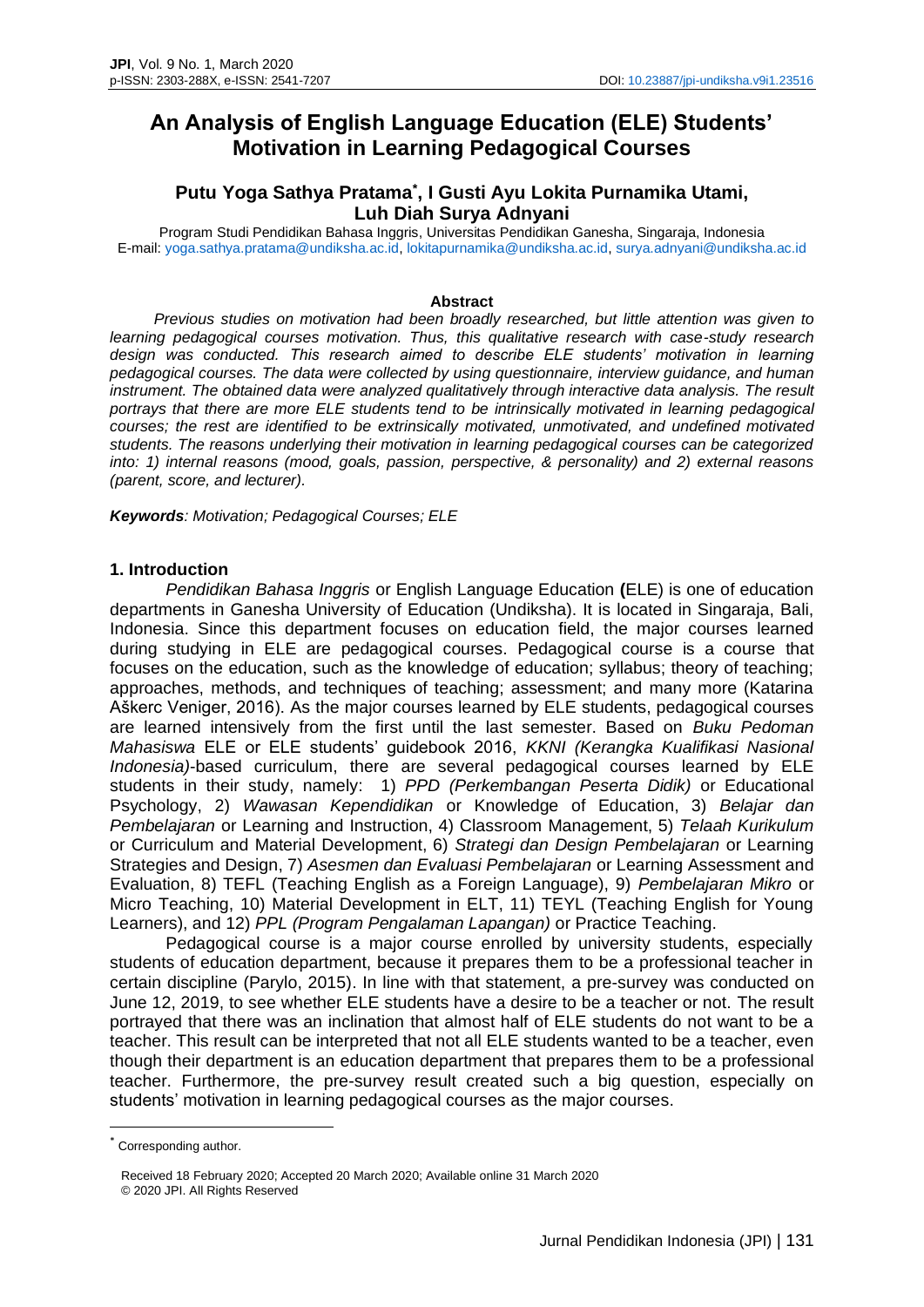# **An Analysis of English Language Education (ELE) Students' Motivation in Learning Pedagogical Courses**

# **Putu Yoga Sathya Pratama\* , I Gusti Ayu Lokita Purnamika Utami, Luh Diah Surya Adnyani**

Program Studi Pendidikan Bahasa Inggris, Universitas Pendidikan Ganesha, Singaraja, Indonesia E-mail: [yoga.sathya.pratama@undiksha.ac.id,](mailto:yoga.sathya.pratama@undiksha.ac.id) [lokitapurnamika@undiksha.ac.id,](mailto:lokitapurnamika@undiksha.ac.id) [surya.adnyani@undiksha.ac.id](mailto:surya.adnyani@undiksha.ac.id)

#### **Abstract**

*Previous studies on motivation had been broadly researched, but little attention was given to learning pedagogical courses motivation. Thus, this qualitative research with case-study research design was conducted. This research aimed to describe ELE students' motivation in learning pedagogical courses. The data were collected by using questionnaire, interview guidance, and human instrument. The obtained data were analyzed qualitatively through interactive data analysis. The result portrays that there are more ELE students tend to be intrinsically motivated in learning pedagogical courses; the rest are identified to be extrinsically motivated, unmotivated, and undefined motivated students. The reasons underlying their motivation in learning pedagogical courses can be categorized into: 1) internal reasons (mood, goals, passion, perspective, & personality) and 2) external reasons (parent, score, and lecturer).*

*Keywords: Motivation; Pedagogical Courses; ELE*

#### **1. Introduction**

*Pendidikan Bahasa Inggris* or English Language Education **(**ELE) is one of education departments in Ganesha University of Education (Undiksha). It is located in Singaraja, Bali, Indonesia. Since this department focuses on education field, the major courses learned during studying in ELE are pedagogical courses. Pedagogical course is a course that focuses on the education, such as the knowledge of education; syllabus; theory of teaching; approaches, methods, and techniques of teaching; assessment; and many more (Katarina Aškerc Veniger, 2016). As the major courses learned by ELE students, pedagogical courses are learned intensively from the first until the last semester. Based on *Buku Pedoman Mahasiswa* ELE or ELE students' guidebook 2016, *KKNI (Kerangka Kualifikasi Nasional Indonesia)*-based curriculum, there are several pedagogical courses learned by ELE students in their study, namely: 1) *PPD (Perkembangan Peserta Didik)* or Educational Psychology, 2) *Wawasan Kependidikan* or Knowledge of Education, 3) *Belajar dan Pembelajaran* or Learning and Instruction, 4) Classroom Management, 5) *Telaah Kurikulum* or Curriculum and Material Development, 6) *Strategi dan Design Pembelajaran* or Learning Strategies and Design, 7) *Asesmen dan Evaluasi Pembelajaran* or Learning Assessment and Evaluation, 8) TEFL (Teaching English as a Foreign Language), 9) *Pembelajaran Mikro* or Micro Teaching, 10) Material Development in ELT, 11) TEYL (Teaching English for Young Learners), and 12) *PPL (Program Pengalaman Lapangan)* or Practice Teaching.

Pedagogical course is a major course enrolled by university students, especially students of education department, because it prepares them to be a professional teacher in certain discipline (Parylo, 2015). In line with that statement, a pre-survey was conducted on June 12, 2019, to see whether ELE students have a desire to be a teacher or not. The result portrayed that there was an inclination that almost half of ELE students do not want to be a teacher. This result can be interpreted that not all ELE students wanted to be a teacher, even though their department is an education department that prepares them to be a professional teacher. Furthermore, the pre-survey result created such a big question, especially on students' motivation in learning pedagogical courses as the major courses.

<sup>\*</sup> Corresponding author.

Received 18 February 2020; Accepted 20 March 2020; Available online 31 March 2020 © 2020 JPI. All Rights Reserved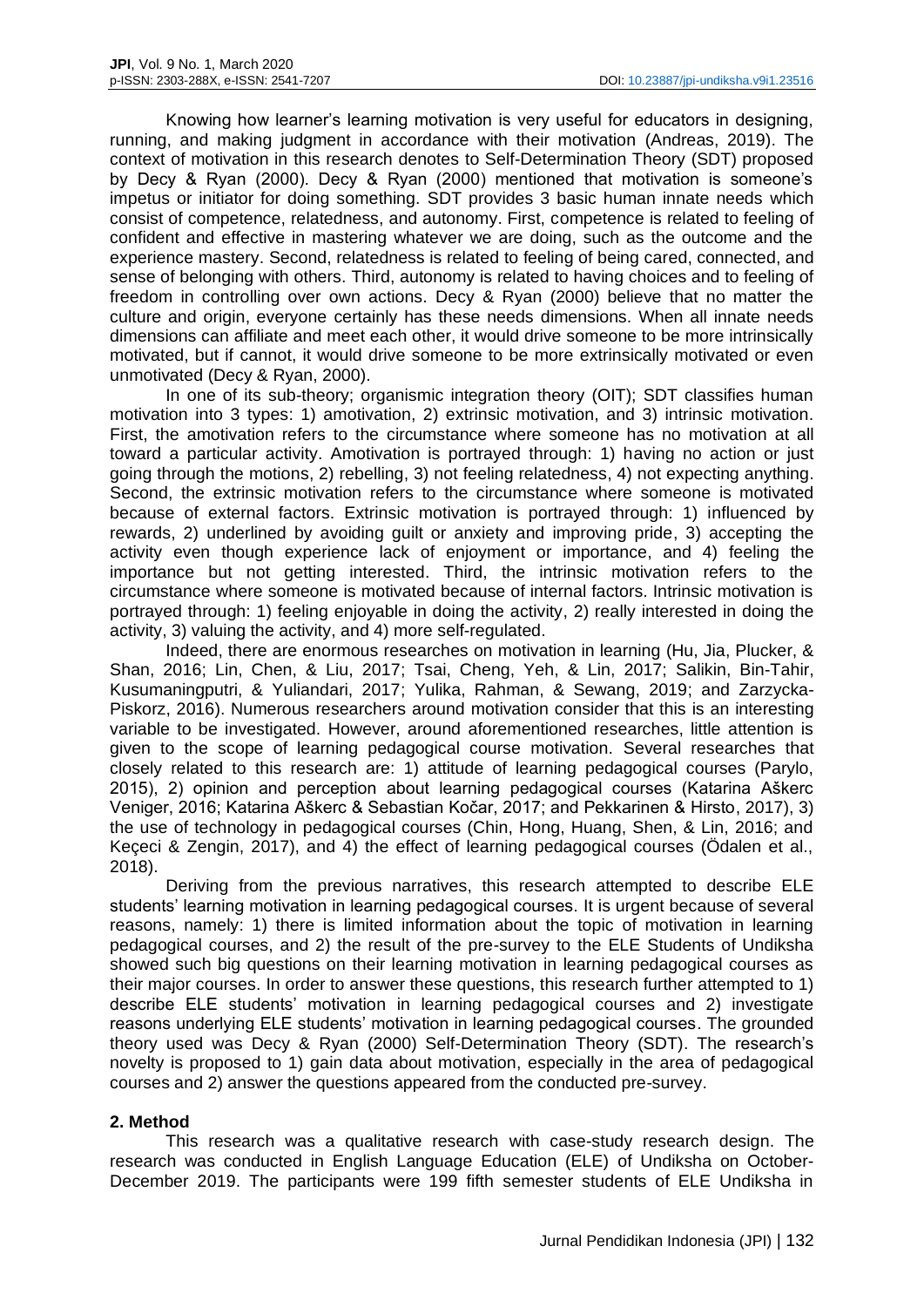Knowing how learner's learning motivation is very useful for educators in designing, running, and making judgment in accordance with their motivation (Andreas, 2019). The context of motivation in this research denotes to Self-Determination Theory (SDT) proposed by Decy & Ryan (2000). Decy & Ryan (2000) mentioned that motivation is someone's impetus or initiator for doing something. SDT provides 3 basic human innate needs which consist of competence, relatedness, and autonomy. First, competence is related to feeling of confident and effective in mastering whatever we are doing, such as the outcome and the experience mastery. Second, relatedness is related to feeling of being cared, connected, and sense of belonging with others. Third, autonomy is related to having choices and to feeling of freedom in controlling over own actions. Decy & Ryan (2000) believe that no matter the culture and origin, everyone certainly has these needs dimensions. When all innate needs dimensions can affiliate and meet each other, it would drive someone to be more intrinsically motivated, but if cannot, it would drive someone to be more extrinsically motivated or even unmotivated (Decy & Ryan, 2000).

In one of its sub-theory; organismic integration theory (OIT); SDT classifies human motivation into 3 types: 1) amotivation, 2) extrinsic motivation, and 3) intrinsic motivation. First, the amotivation refers to the circumstance where someone has no motivation at all toward a particular activity. Amotivation is portrayed through: 1) having no action or just going through the motions, 2) rebelling, 3) not feeling relatedness, 4) not expecting anything. Second, the extrinsic motivation refers to the circumstance where someone is motivated because of external factors. Extrinsic motivation is portrayed through: 1) influenced by rewards, 2) underlined by avoiding guilt or anxiety and improving pride, 3) accepting the activity even though experience lack of enjoyment or importance, and 4) feeling the importance but not getting interested. Third, the intrinsic motivation refers to the circumstance where someone is motivated because of internal factors. Intrinsic motivation is portrayed through: 1) feeling enjoyable in doing the activity, 2) really interested in doing the activity, 3) valuing the activity, and 4) more self-regulated.

Indeed, there are enormous researches on motivation in learning (Hu, Jia, Plucker, & Shan, 2016; Lin, Chen, & Liu, 2017; Tsai, Cheng, Yeh, & Lin, 2017; Salikin, Bin-Tahir, Kusumaningputri, & Yuliandari, 2017; Yulika, Rahman, & Sewang, 2019; and Zarzycka-Piskorz, 2016). Numerous researchers around motivation consider that this is an interesting variable to be investigated. However, around aforementioned researches, little attention is given to the scope of learning pedagogical course motivation. Several researches that closely related to this research are: 1) attitude of learning pedagogical courses (Parylo, 2015), 2) opinion and perception about learning pedagogical courses (Katarina Aškerc Veniger, 2016; Katarina Aškerc & Sebastian Kočar, 2017; and Pekkarinen & Hirsto, 2017), 3) the use of technology in pedagogical courses (Chin, Hong, Huang, Shen, & Lin, 2016; and Keçeci & Zengin, 2017), and 4) the effect of learning pedagogical courses (Ödalen et al., 2018).

Deriving from the previous narratives, this research attempted to describe ELE students' learning motivation in learning pedagogical courses. It is urgent because of several reasons, namely: 1) there is limited information about the topic of motivation in learning pedagogical courses, and 2) the result of the pre-survey to the ELE Students of Undiksha showed such big questions on their learning motivation in learning pedagogical courses as their major courses. In order to answer these questions, this research further attempted to 1) describe ELE students' motivation in learning pedagogical courses and 2) investigate reasons underlying ELE students' motivation in learning pedagogical courses. The grounded theory used was Decy & Ryan (2000) Self-Determination Theory (SDT). The research's novelty is proposed to 1) gain data about motivation, especially in the area of pedagogical courses and 2) answer the questions appeared from the conducted pre-survey.

# **2. Method**

This research was a qualitative research with case-study research design. The research was conducted in English Language Education (ELE) of Undiksha on October-December 2019. The participants were 199 fifth semester students of ELE Undiksha in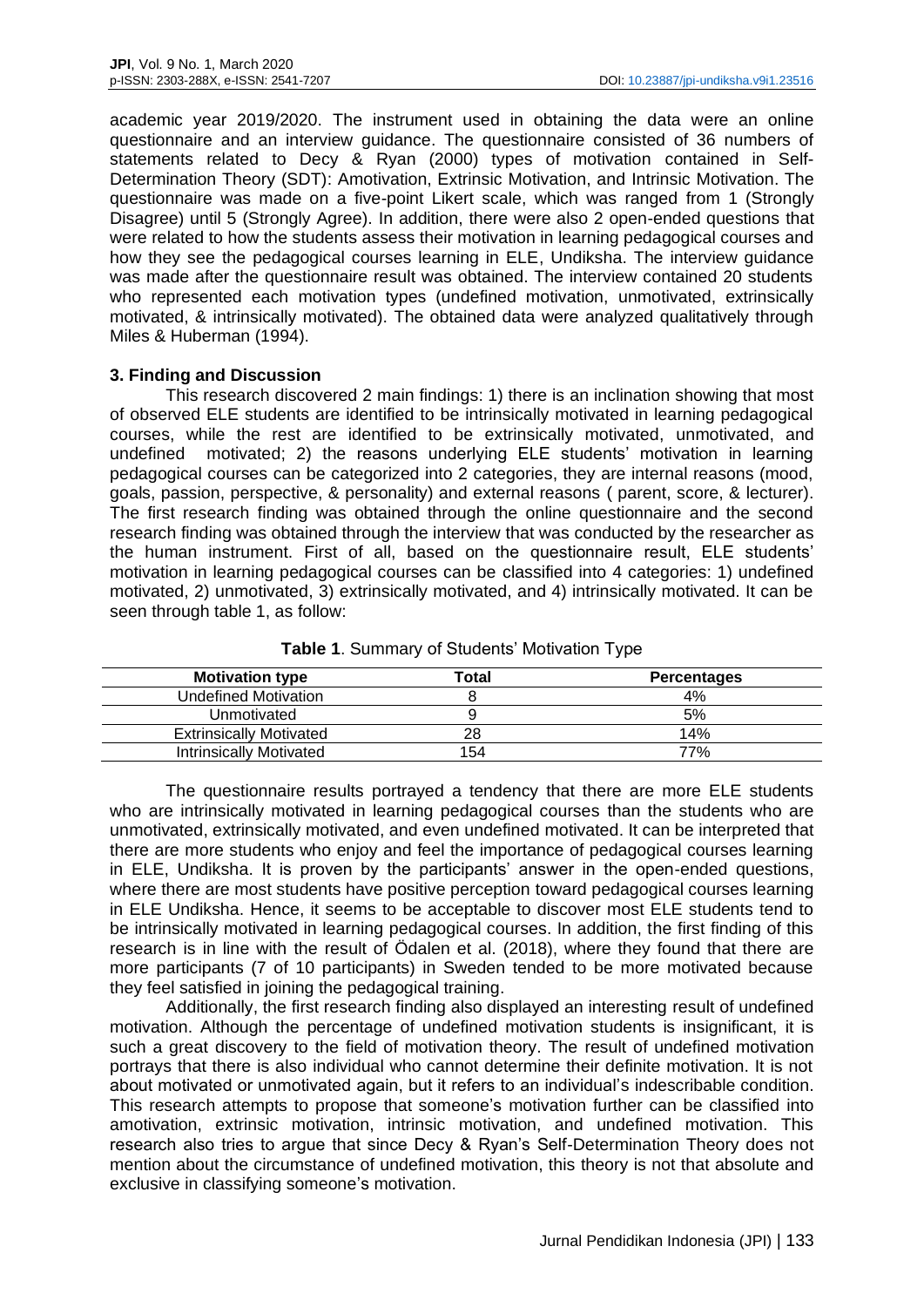academic year 2019/2020. The instrument used in obtaining the data were an online questionnaire and an interview guidance. The questionnaire consisted of 36 numbers of statements related to Decy & Ryan (2000) types of motivation contained in Self-Determination Theory (SDT): Amotivation, Extrinsic Motivation, and Intrinsic Motivation. The questionnaire was made on a five-point Likert scale, which was ranged from 1 (Strongly Disagree) until 5 (Strongly Agree). In addition, there were also 2 open-ended questions that were related to how the students assess their motivation in learning pedagogical courses and how they see the pedagogical courses learning in ELE, Undiksha. The interview guidance was made after the questionnaire result was obtained. The interview contained 20 students who represented each motivation types (undefined motivation, unmotivated, extrinsically motivated, & intrinsically motivated). The obtained data were analyzed qualitatively through Miles & Huberman (1994).

### **3. Finding and Discussion**

This research discovered 2 main findings: 1) there is an inclination showing that most of observed ELE students are identified to be intrinsically motivated in learning pedagogical courses, while the rest are identified to be extrinsically motivated, unmotivated, and undefined motivated; 2) the reasons underlying ELE students' motivation in learning pedagogical courses can be categorized into 2 categories, they are internal reasons (mood, goals, passion, perspective, & personality) and external reasons ( parent, score, & lecturer). The first research finding was obtained through the online questionnaire and the second research finding was obtained through the interview that was conducted by the researcher as the human instrument. First of all, based on the questionnaire result, ELE students' motivation in learning pedagogical courses can be classified into 4 categories: 1) undefined motivated, 2) unmotivated, 3) extrinsically motivated, and 4) intrinsically motivated. It can be seen through table 1, as follow:

| <b>Motivation type</b>         | Total | <b>Percentages</b> |
|--------------------------------|-------|--------------------|
| Undefined Motivation           |       | 4%                 |
| Unmotivated                    |       | 5%                 |
| <b>Extrinsically Motivated</b> | 28    | 14%                |
| <b>Intrinsically Motivated</b> | 154   | 77%                |
|                                |       |                    |

**Table 1**. Summary of Students' Motivation Type

The questionnaire results portrayed a tendency that there are more ELE students who are intrinsically motivated in learning pedagogical courses than the students who are unmotivated, extrinsically motivated, and even undefined motivated. It can be interpreted that there are more students who enjoy and feel the importance of pedagogical courses learning in ELE, Undiksha. It is proven by the participants' answer in the open-ended questions, where there are most students have positive perception toward pedagogical courses learning in ELE Undiksha. Hence, it seems to be acceptable to discover most ELE students tend to be intrinsically motivated in learning pedagogical courses. In addition, the first finding of this research is in line with the result of Ödalen et al. (2018), where they found that there are more participants (7 of 10 participants) in Sweden tended to be more motivated because they feel satisfied in joining the pedagogical training.

Additionally, the first research finding also displayed an interesting result of undefined motivation. Although the percentage of undefined motivation students is insignificant, it is such a great discovery to the field of motivation theory. The result of undefined motivation portrays that there is also individual who cannot determine their definite motivation. It is not about motivated or unmotivated again, but it refers to an individual's indescribable condition. This research attempts to propose that someone's motivation further can be classified into amotivation, extrinsic motivation, intrinsic motivation, and undefined motivation. This research also tries to argue that since Decy & Ryan's Self-Determination Theory does not mention about the circumstance of undefined motivation, this theory is not that absolute and exclusive in classifying someone's motivation.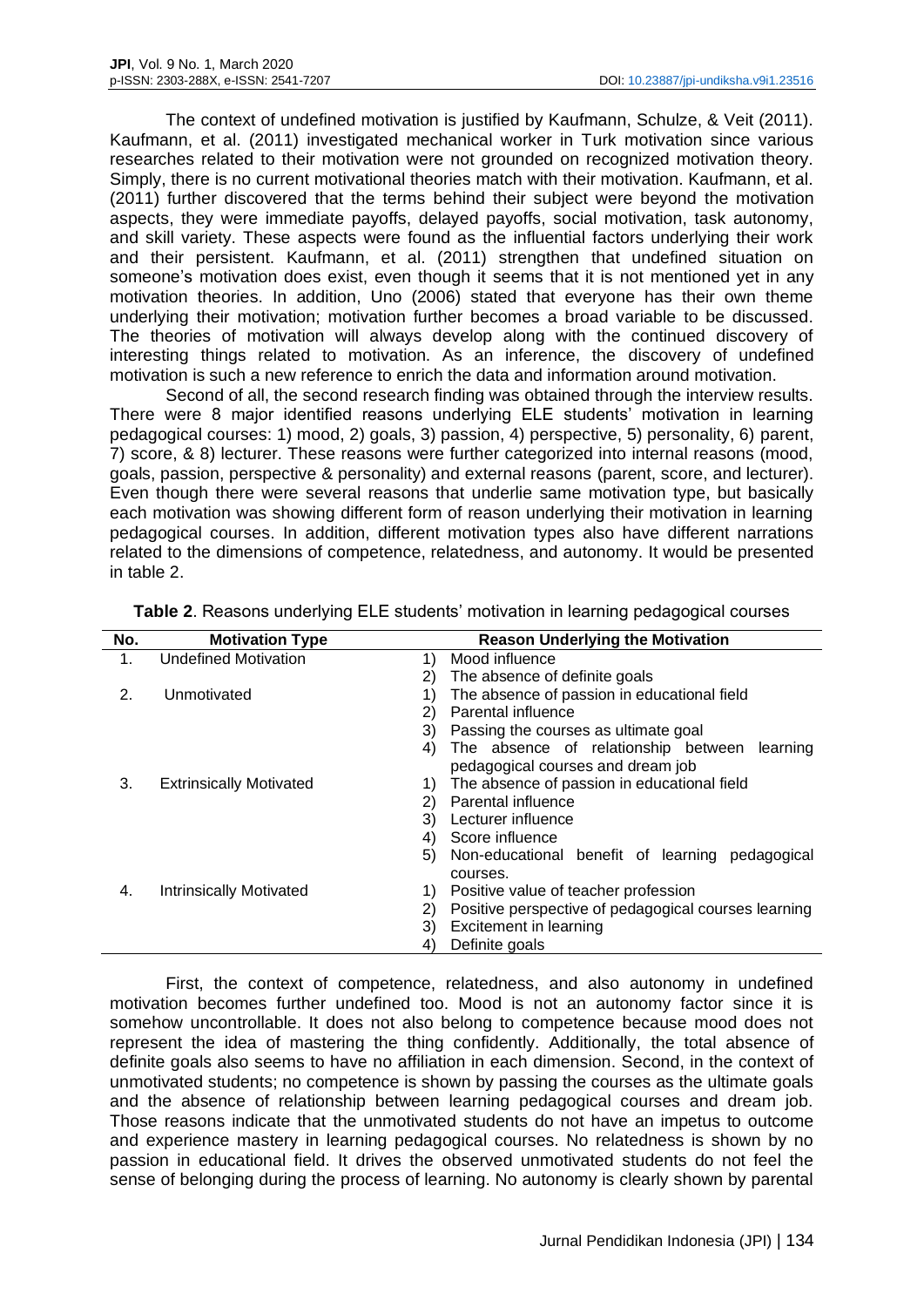The context of undefined motivation is justified by Kaufmann, Schulze, & Veit (2011). Kaufmann, et al. (2011) investigated mechanical worker in Turk motivation since various researches related to their motivation were not grounded on recognized motivation theory. Simply, there is no current motivational theories match with their motivation. Kaufmann, et al. (2011) further discovered that the terms behind their subject were beyond the motivation aspects, they were immediate payoffs, delayed payoffs, social motivation, task autonomy, and skill variety. These aspects were found as the influential factors underlying their work and their persistent. Kaufmann, et al. (2011) strengthen that undefined situation on someone's motivation does exist, even though it seems that it is not mentioned yet in any motivation theories. In addition, Uno (2006) stated that everyone has their own theme underlying their motivation; motivation further becomes a broad variable to be discussed. The theories of motivation will always develop along with the continued discovery of interesting things related to motivation. As an inference, the discovery of undefined motivation is such a new reference to enrich the data and information around motivation.

Second of all, the second research finding was obtained through the interview results. There were 8 major identified reasons underlying ELE students' motivation in learning pedagogical courses: 1) mood, 2) goals, 3) passion, 4) perspective, 5) personality, 6) parent, 7) score, & 8) lecturer. These reasons were further categorized into internal reasons (mood, goals, passion, perspective & personality) and external reasons (parent, score, and lecturer). Even though there were several reasons that underlie same motivation type, but basically each motivation was showing different form of reason underlying their motivation in learning pedagogical courses. In addition, different motivation types also have different narrations related to the dimensions of competence, relatedness, and autonomy. It would be presented in table 2.

| No. | <b>Motivation Type</b>         |    | <b>Reason Underlying the Motivation</b>              |
|-----|--------------------------------|----|------------------------------------------------------|
| 1.  | <b>Undefined Motivation</b>    | 1) | Mood influence                                       |
|     |                                | 2) | The absence of definite goals                        |
| 2.  | Unmotivated                    | 1) | The absence of passion in educational field          |
|     |                                | 2) | Parental influence                                   |
|     |                                | 3) | Passing the courses as ultimate goal                 |
|     |                                | 4) | The absence of relationship between<br>learning      |
|     |                                |    | pedagogical courses and dream job                    |
| 3.  | <b>Extrinsically Motivated</b> | 1) | The absence of passion in educational field          |
|     |                                | 2) | Parental influence                                   |
|     |                                | 3) | Lecturer influence                                   |
|     |                                | 4) | Score influence                                      |
|     |                                | 5) | Non-educational benefit of learning<br>pedagogical   |
|     |                                |    | courses.                                             |
| 4.  | <b>Intrinsically Motivated</b> | 1) | Positive value of teacher profession                 |
|     |                                | 2) | Positive perspective of pedagogical courses learning |
|     |                                | 3) | Excitement in learning                               |
|     |                                | 4) | Definite goals                                       |

**Table 2**. Reasons underlying ELE students' motivation in learning pedagogical courses

First, the context of competence, relatedness, and also autonomy in undefined motivation becomes further undefined too. Mood is not an autonomy factor since it is somehow uncontrollable. It does not also belong to competence because mood does not represent the idea of mastering the thing confidently. Additionally, the total absence of definite goals also seems to have no affiliation in each dimension. Second, in the context of unmotivated students; no competence is shown by passing the courses as the ultimate goals and the absence of relationship between learning pedagogical courses and dream job. Those reasons indicate that the unmotivated students do not have an impetus to outcome and experience mastery in learning pedagogical courses. No relatedness is shown by no passion in educational field. It drives the observed unmotivated students do not feel the sense of belonging during the process of learning. No autonomy is clearly shown by parental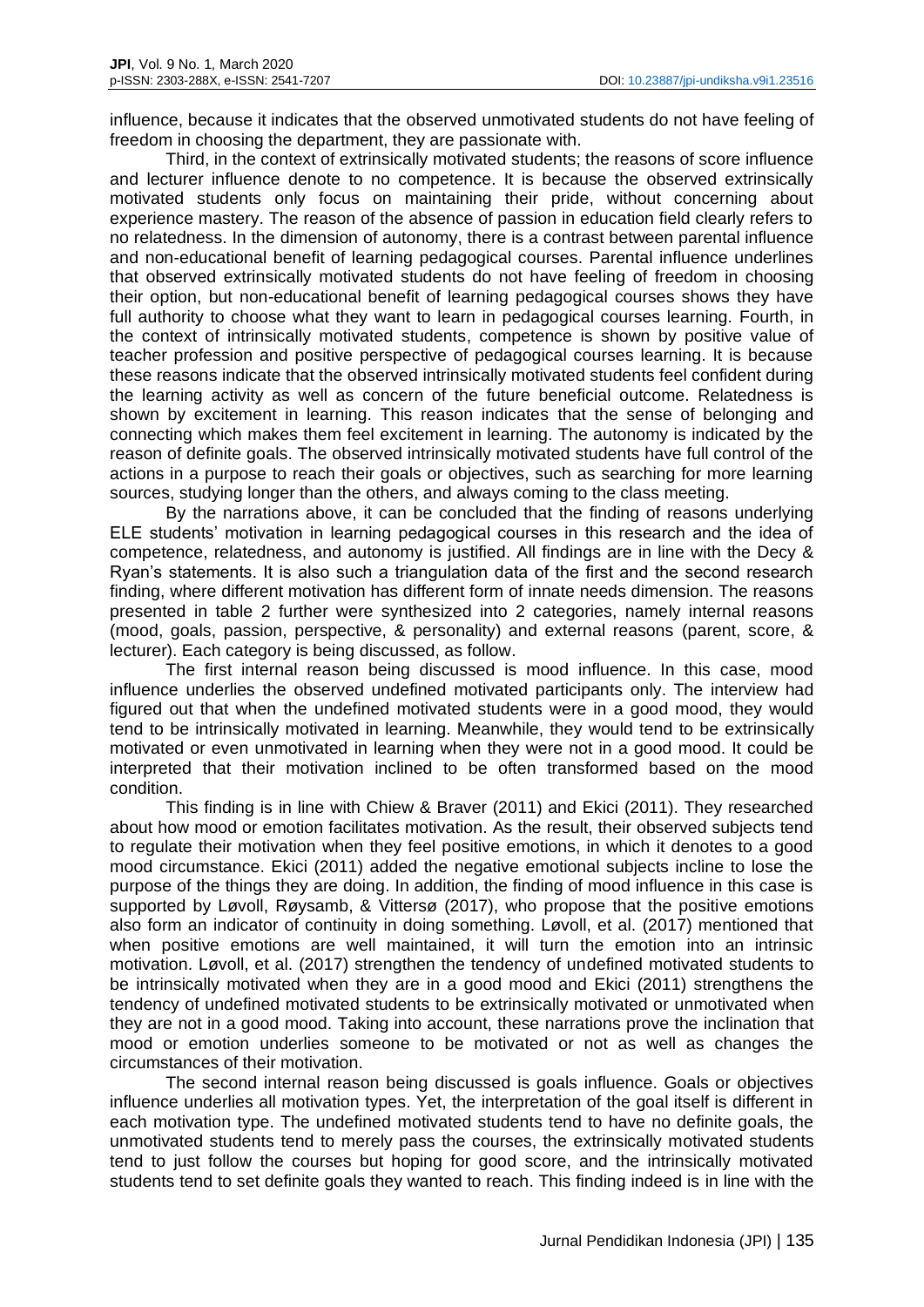influence, because it indicates that the observed unmotivated students do not have feeling of freedom in choosing the department, they are passionate with.

Third, in the context of extrinsically motivated students; the reasons of score influence and lecturer influence denote to no competence. It is because the observed extrinsically motivated students only focus on maintaining their pride, without concerning about experience mastery. The reason of the absence of passion in education field clearly refers to no relatedness. In the dimension of autonomy, there is a contrast between parental influence and non-educational benefit of learning pedagogical courses. Parental influence underlines that observed extrinsically motivated students do not have feeling of freedom in choosing their option, but non-educational benefit of learning pedagogical courses shows they have full authority to choose what they want to learn in pedagogical courses learning. Fourth, in the context of intrinsically motivated students, competence is shown by positive value of teacher profession and positive perspective of pedagogical courses learning. It is because these reasons indicate that the observed intrinsically motivated students feel confident during the learning activity as well as concern of the future beneficial outcome. Relatedness is shown by excitement in learning. This reason indicates that the sense of belonging and connecting which makes them feel excitement in learning. The autonomy is indicated by the reason of definite goals. The observed intrinsically motivated students have full control of the actions in a purpose to reach their goals or objectives, such as searching for more learning sources, studying longer than the others, and always coming to the class meeting.

By the narrations above, it can be concluded that the finding of reasons underlying ELE students' motivation in learning pedagogical courses in this research and the idea of competence, relatedness, and autonomy is justified. All findings are in line with the Decy & Ryan's statements. It is also such a triangulation data of the first and the second research finding, where different motivation has different form of innate needs dimension. The reasons presented in table 2 further were synthesized into 2 categories, namely internal reasons (mood, goals, passion, perspective, & personality) and external reasons (parent, score, & lecturer). Each category is being discussed, as follow.

The first internal reason being discussed is mood influence. In this case, mood influence underlies the observed undefined motivated participants only. The interview had figured out that when the undefined motivated students were in a good mood, they would tend to be intrinsically motivated in learning. Meanwhile, they would tend to be extrinsically motivated or even unmotivated in learning when they were not in a good mood. It could be interpreted that their motivation inclined to be often transformed based on the mood condition.

This finding is in line with Chiew & Braver (2011) and Ekici (2011). They researched about how mood or emotion facilitates motivation. As the result, their observed subjects tend to regulate their motivation when they feel positive emotions, in which it denotes to a good mood circumstance. Ekici (2011) added the negative emotional subjects incline to lose the purpose of the things they are doing. In addition, the finding of mood influence in this case is supported by Løvoll, Røysamb, & Vittersø (2017), who propose that the positive emotions also form an indicator of continuity in doing something. Løvoll, et al. (2017) mentioned that when positive emotions are well maintained, it will turn the emotion into an intrinsic motivation. Løvoll, et al. (2017) strengthen the tendency of undefined motivated students to be intrinsically motivated when they are in a good mood and Ekici (2011) strengthens the tendency of undefined motivated students to be extrinsically motivated or unmotivated when they are not in a good mood. Taking into account, these narrations prove the inclination that mood or emotion underlies someone to be motivated or not as well as changes the circumstances of their motivation.

The second internal reason being discussed is goals influence. Goals or objectives influence underlies all motivation types. Yet, the interpretation of the goal itself is different in each motivation type. The undefined motivated students tend to have no definite goals, the unmotivated students tend to merely pass the courses, the extrinsically motivated students tend to just follow the courses but hoping for good score, and the intrinsically motivated students tend to set definite goals they wanted to reach. This finding indeed is in line with the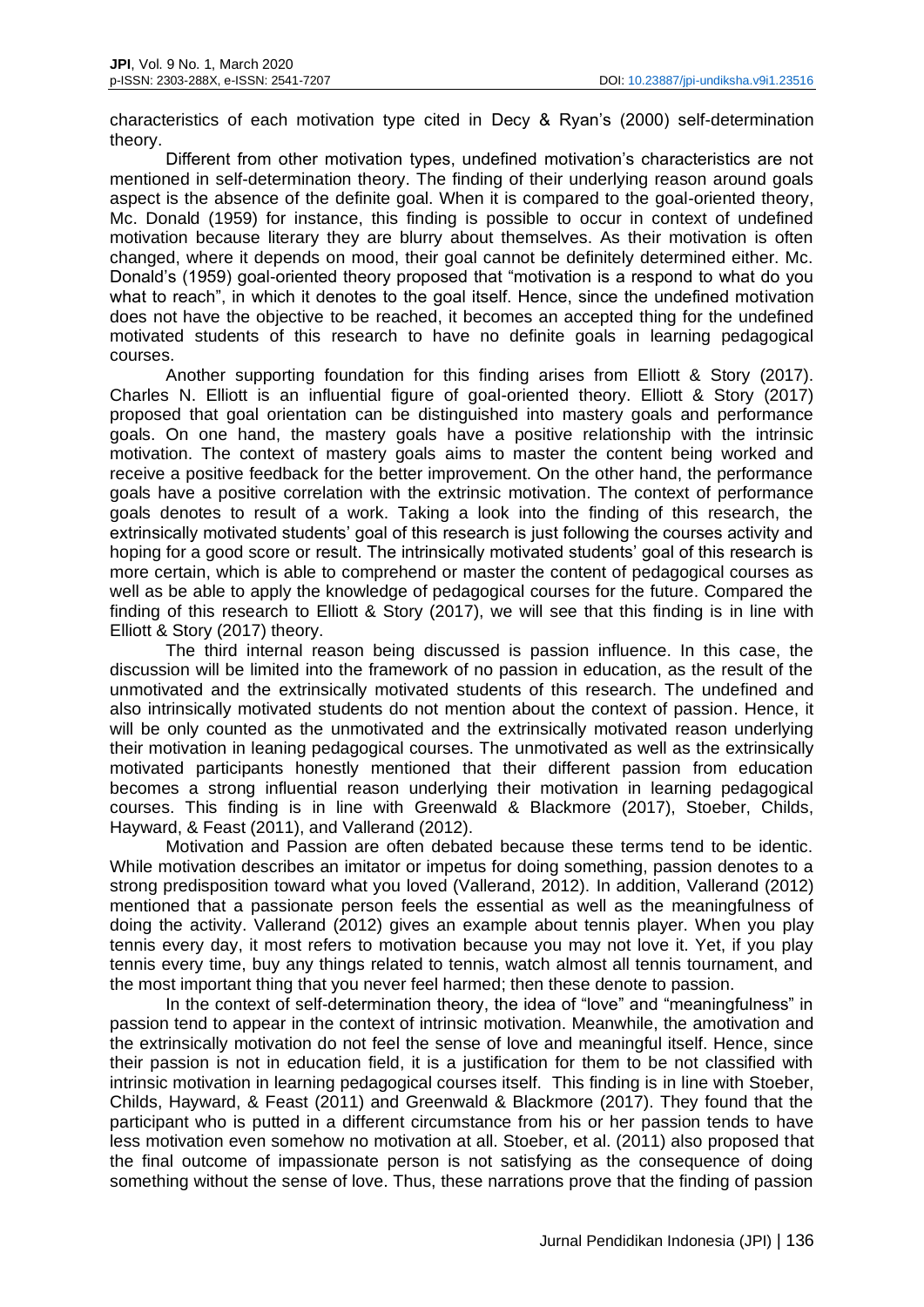characteristics of each motivation type cited in Decy & Ryan's (2000) self-determination theory.

Different from other motivation types, undefined motivation's characteristics are not mentioned in self-determination theory. The finding of their underlying reason around goals aspect is the absence of the definite goal. When it is compared to the goal-oriented theory, Mc. Donald (1959) for instance, this finding is possible to occur in context of undefined motivation because literary they are blurry about themselves. As their motivation is often changed, where it depends on mood, their goal cannot be definitely determined either. Mc. Donald's (1959) goal-oriented theory proposed that "motivation is a respond to what do you what to reach", in which it denotes to the goal itself. Hence, since the undefined motivation does not have the objective to be reached, it becomes an accepted thing for the undefined motivated students of this research to have no definite goals in learning pedagogical courses.

Another supporting foundation for this finding arises from Elliott & Story (2017). Charles N. Elliott is an influential figure of goal-oriented theory. Elliott & Story (2017) proposed that goal orientation can be distinguished into mastery goals and performance goals. On one hand, the mastery goals have a positive relationship with the intrinsic motivation. The context of mastery goals aims to master the content being worked and receive a positive feedback for the better improvement. On the other hand, the performance goals have a positive correlation with the extrinsic motivation. The context of performance goals denotes to result of a work. Taking a look into the finding of this research, the extrinsically motivated students' goal of this research is just following the courses activity and hoping for a good score or result. The intrinsically motivated students' goal of this research is more certain, which is able to comprehend or master the content of pedagogical courses as well as be able to apply the knowledge of pedagogical courses for the future. Compared the finding of this research to Elliott & Story (2017), we will see that this finding is in line with Elliott & Story (2017) theory.

The third internal reason being discussed is passion influence. In this case, the discussion will be limited into the framework of no passion in education, as the result of the unmotivated and the extrinsically motivated students of this research. The undefined and also intrinsically motivated students do not mention about the context of passion. Hence, it will be only counted as the unmotivated and the extrinsically motivated reason underlying their motivation in leaning pedagogical courses. The unmotivated as well as the extrinsically motivated participants honestly mentioned that their different passion from education becomes a strong influential reason underlying their motivation in learning pedagogical courses. This finding is in line with Greenwald & Blackmore (2017), Stoeber, Childs, Hayward, & Feast (2011), and Vallerand (2012).

Motivation and Passion are often debated because these terms tend to be identic. While motivation describes an imitator or impetus for doing something, passion denotes to a strong predisposition toward what you loved (Vallerand, 2012). In addition, Vallerand (2012) mentioned that a passionate person feels the essential as well as the meaningfulness of doing the activity. Vallerand (2012) gives an example about tennis player. When you play tennis every day, it most refers to motivation because you may not love it. Yet, if you play tennis every time, buy any things related to tennis, watch almost all tennis tournament, and the most important thing that you never feel harmed; then these denote to passion.

In the context of self-determination theory, the idea of "love" and "meaningfulness" in passion tend to appear in the context of intrinsic motivation. Meanwhile, the amotivation and the extrinsically motivation do not feel the sense of love and meaningful itself. Hence, since their passion is not in education field, it is a justification for them to be not classified with intrinsic motivation in learning pedagogical courses itself. This finding is in line with Stoeber, Childs, Hayward, & Feast (2011) and Greenwald & Blackmore (2017). They found that the participant who is putted in a different circumstance from his or her passion tends to have less motivation even somehow no motivation at all. Stoeber, et al. (2011) also proposed that the final outcome of impassionate person is not satisfying as the consequence of doing something without the sense of love. Thus, these narrations prove that the finding of passion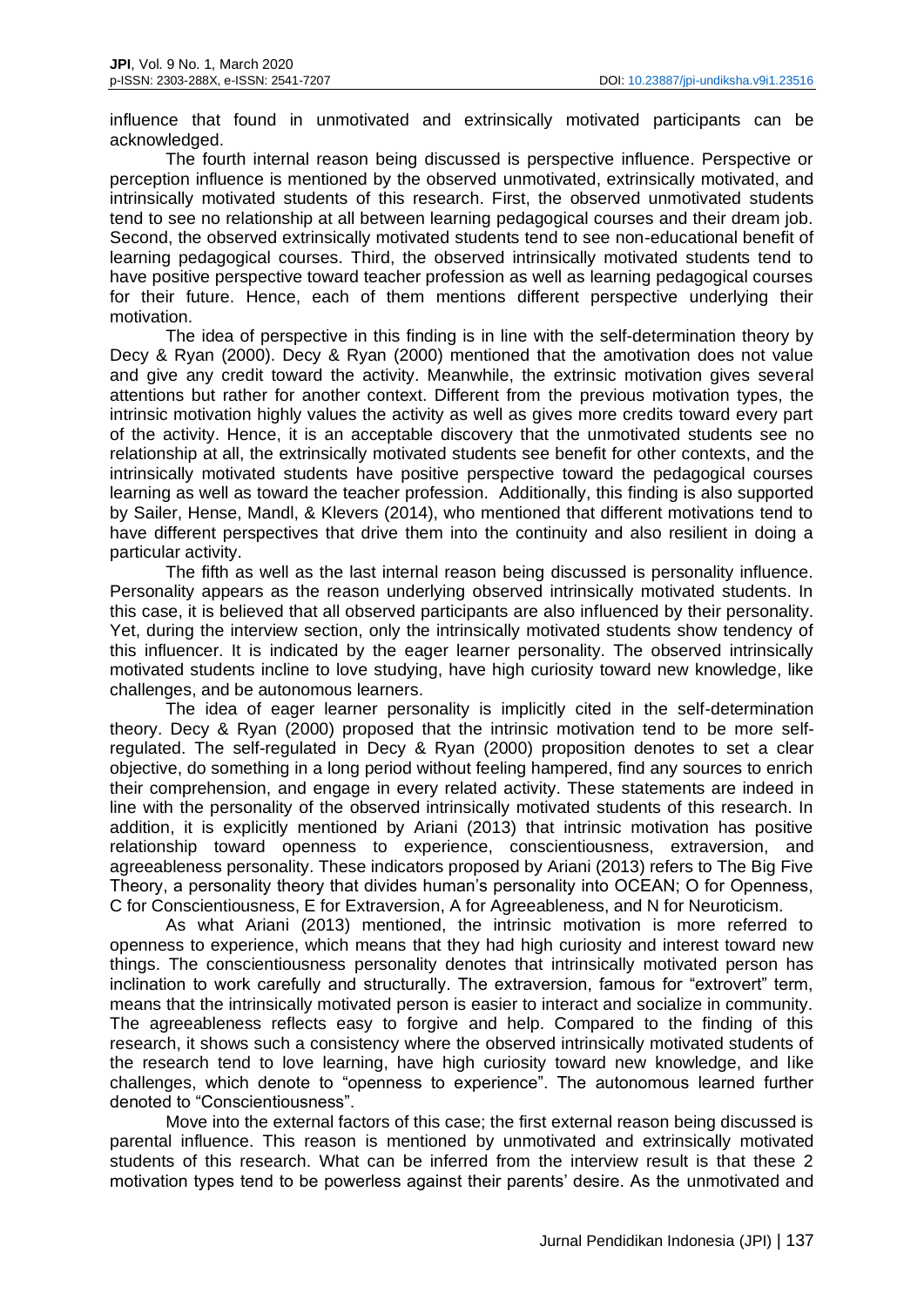influence that found in unmotivated and extrinsically motivated participants can be acknowledged.

The fourth internal reason being discussed is perspective influence. Perspective or perception influence is mentioned by the observed unmotivated, extrinsically motivated, and intrinsically motivated students of this research. First, the observed unmotivated students tend to see no relationship at all between learning pedagogical courses and their dream job. Second, the observed extrinsically motivated students tend to see non-educational benefit of learning pedagogical courses. Third, the observed intrinsically motivated students tend to have positive perspective toward teacher profession as well as learning pedagogical courses for their future. Hence, each of them mentions different perspective underlying their motivation.

The idea of perspective in this finding is in line with the self-determination theory by Decy & Ryan (2000). Decy & Ryan (2000) mentioned that the amotivation does not value and give any credit toward the activity. Meanwhile, the extrinsic motivation gives several attentions but rather for another context. Different from the previous motivation types, the intrinsic motivation highly values the activity as well as gives more credits toward every part of the activity. Hence, it is an acceptable discovery that the unmotivated students see no relationship at all, the extrinsically motivated students see benefit for other contexts, and the intrinsically motivated students have positive perspective toward the pedagogical courses learning as well as toward the teacher profession. Additionally, this finding is also supported by Sailer, Hense, Mandl, & Klevers (2014), who mentioned that different motivations tend to have different perspectives that drive them into the continuity and also resilient in doing a particular activity.

The fifth as well as the last internal reason being discussed is personality influence. Personality appears as the reason underlying observed intrinsically motivated students. In this case, it is believed that all observed participants are also influenced by their personality. Yet, during the interview section, only the intrinsically motivated students show tendency of this influencer. It is indicated by the eager learner personality. The observed intrinsically motivated students incline to love studying, have high curiosity toward new knowledge, like challenges, and be autonomous learners.

The idea of eager learner personality is implicitly cited in the self-determination theory. Decy & Ryan (2000) proposed that the intrinsic motivation tend to be more selfregulated. The self-regulated in Decy & Ryan (2000) proposition denotes to set a clear objective, do something in a long period without feeling hampered, find any sources to enrich their comprehension, and engage in every related activity. These statements are indeed in line with the personality of the observed intrinsically motivated students of this research. In addition, it is explicitly mentioned by Ariani (2013) that intrinsic motivation has positive relationship toward openness to experience, conscientiousness, extraversion, and agreeableness personality. These indicators proposed by Ariani (2013) refers to The Big Five Theory, a personality theory that divides human's personality into OCEAN; O for Openness, C for Conscientiousness, E for Extraversion, A for Agreeableness, and N for Neuroticism.

As what Ariani (2013) mentioned, the intrinsic motivation is more referred to openness to experience, which means that they had high curiosity and interest toward new things. The conscientiousness personality denotes that intrinsically motivated person has inclination to work carefully and structurally. The extraversion, famous for "extrovert" term, means that the intrinsically motivated person is easier to interact and socialize in community. The agreeableness reflects easy to forgive and help. Compared to the finding of this research, it shows such a consistency where the observed intrinsically motivated students of the research tend to love learning, have high curiosity toward new knowledge, and like challenges, which denote to "openness to experience". The autonomous learned further denoted to "Conscientiousness".

Move into the external factors of this case; the first external reason being discussed is parental influence. This reason is mentioned by unmotivated and extrinsically motivated students of this research. What can be inferred from the interview result is that these 2 motivation types tend to be powerless against their parents' desire. As the unmotivated and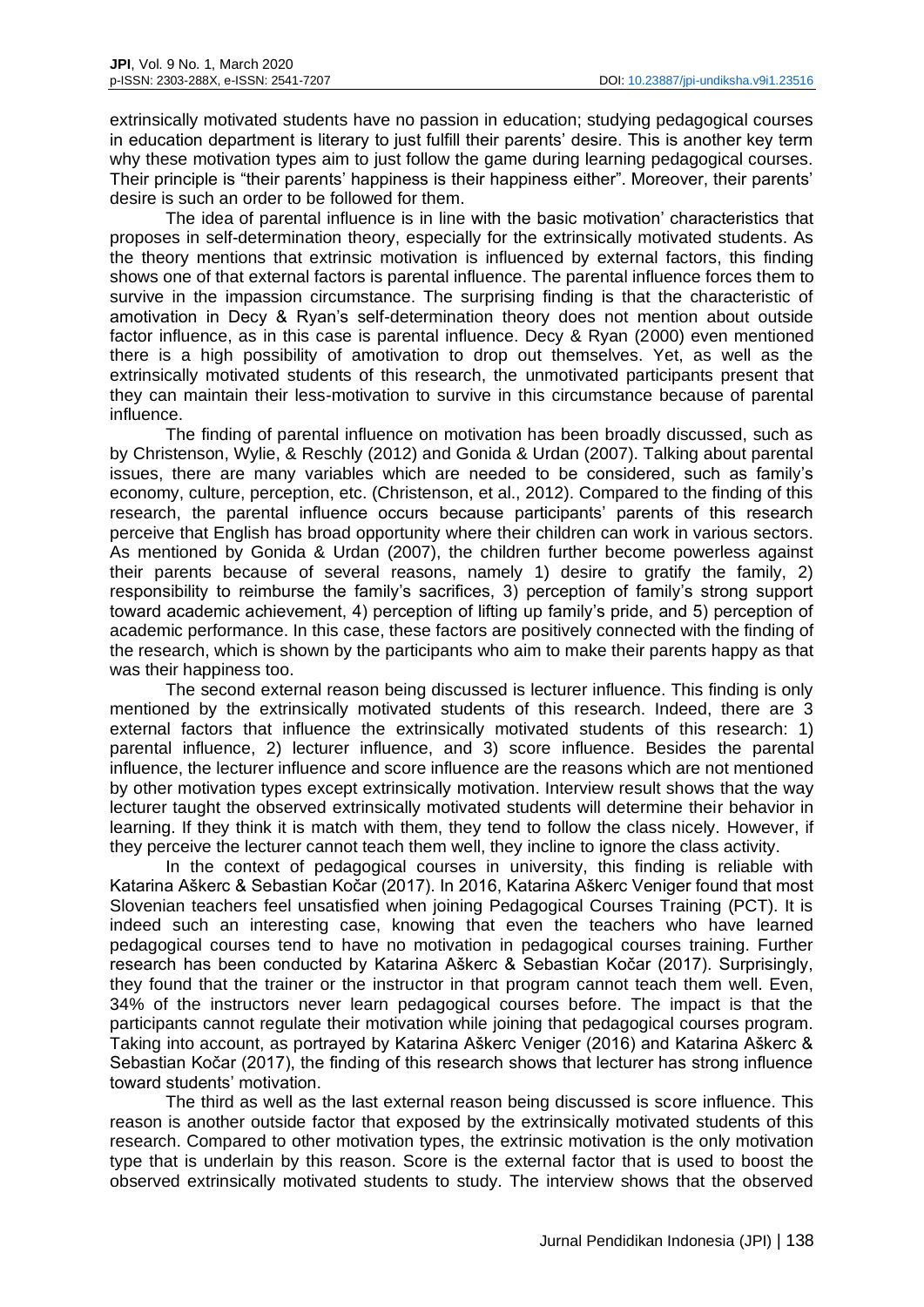extrinsically motivated students have no passion in education; studying pedagogical courses in education department is literary to just fulfill their parents' desire. This is another key term why these motivation types aim to just follow the game during learning pedagogical courses. Their principle is "their parents' happiness is their happiness either". Moreover, their parents' desire is such an order to be followed for them.

The idea of parental influence is in line with the basic motivation' characteristics that proposes in self-determination theory, especially for the extrinsically motivated students. As the theory mentions that extrinsic motivation is influenced by external factors, this finding shows one of that external factors is parental influence. The parental influence forces them to survive in the impassion circumstance. The surprising finding is that the characteristic of amotivation in Decy & Ryan's self-determination theory does not mention about outside factor influence, as in this case is parental influence. Decy & Ryan (2000) even mentioned there is a high possibility of amotivation to drop out themselves. Yet, as well as the extrinsically motivated students of this research, the unmotivated participants present that they can maintain their less-motivation to survive in this circumstance because of parental influence.

The finding of parental influence on motivation has been broadly discussed, such as by Christenson, Wylie, & Reschly (2012) and Gonida & Urdan (2007). Talking about parental issues, there are many variables which are needed to be considered, such as family's economy, culture, perception, etc. (Christenson, et al., 2012). Compared to the finding of this research, the parental influence occurs because participants' parents of this research perceive that English has broad opportunity where their children can work in various sectors. As mentioned by Gonida & Urdan (2007), the children further become powerless against their parents because of several reasons, namely 1) desire to gratify the family, 2) responsibility to reimburse the family's sacrifices, 3) perception of family's strong support toward academic achievement, 4) perception of lifting up family's pride, and 5) perception of academic performance. In this case, these factors are positively connected with the finding of the research, which is shown by the participants who aim to make their parents happy as that was their happiness too.

The second external reason being discussed is lecturer influence. This finding is only mentioned by the extrinsically motivated students of this research. Indeed, there are 3 external factors that influence the extrinsically motivated students of this research: 1) parental influence, 2) lecturer influence, and 3) score influence. Besides the parental influence, the lecturer influence and score influence are the reasons which are not mentioned by other motivation types except extrinsically motivation. Interview result shows that the way lecturer taught the observed extrinsically motivated students will determine their behavior in learning. If they think it is match with them, they tend to follow the class nicely. However, if they perceive the lecturer cannot teach them well, they incline to ignore the class activity.

In the context of pedagogical courses in university, this finding is reliable with Katarina Aškerc & Sebastian Kočar (2017). In 2016, Katarina Aškerc Veniger found that most Slovenian teachers feel unsatisfied when joining Pedagogical Courses Training (PCT). It is indeed such an interesting case, knowing that even the teachers who have learned pedagogical courses tend to have no motivation in pedagogical courses training. Further research has been conducted by Katarina Aškerc & Sebastian Kočar (2017). Surprisingly, they found that the trainer or the instructor in that program cannot teach them well. Even, 34% of the instructors never learn pedagogical courses before. The impact is that the participants cannot regulate their motivation while joining that pedagogical courses program. Taking into account, as portrayed by Katarina Aškerc Veniger (2016) and Katarina Aškerc & Sebastian Kočar (2017), the finding of this research shows that lecturer has strong influence toward students' motivation.

The third as well as the last external reason being discussed is score influence. This reason is another outside factor that exposed by the extrinsically motivated students of this research. Compared to other motivation types, the extrinsic motivation is the only motivation type that is underlain by this reason. Score is the external factor that is used to boost the observed extrinsically motivated students to study. The interview shows that the observed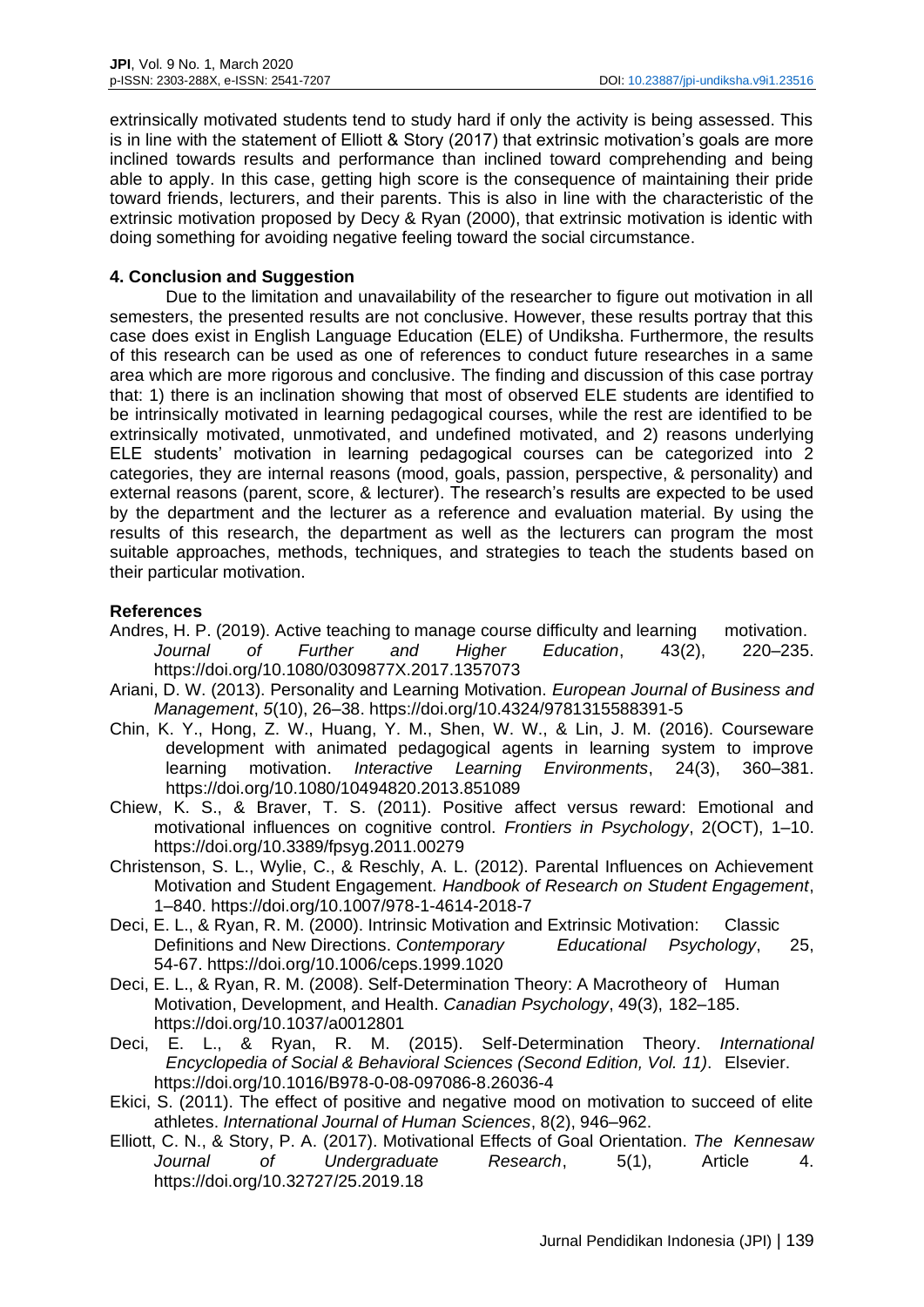extrinsically motivated students tend to study hard if only the activity is being assessed. This is in line with the statement of Elliott & Story (2017) that extrinsic motivation's goals are more inclined towards results and performance than inclined toward comprehending and being able to apply. In this case, getting high score is the consequence of maintaining their pride toward friends, lecturers, and their parents. This is also in line with the characteristic of the extrinsic motivation proposed by Decy & Ryan (2000), that extrinsic motivation is identic with doing something for avoiding negative feeling toward the social circumstance.

### **4. Conclusion and Suggestion**

Due to the limitation and unavailability of the researcher to figure out motivation in all semesters, the presented results are not conclusive. However, these results portray that this case does exist in English Language Education (ELE) of Undiksha. Furthermore, the results of this research can be used as one of references to conduct future researches in a same area which are more rigorous and conclusive. The finding and discussion of this case portray that: 1) there is an inclination showing that most of observed ELE students are identified to be intrinsically motivated in learning pedagogical courses, while the rest are identified to be extrinsically motivated, unmotivated, and undefined motivated, and 2) reasons underlying ELE students' motivation in learning pedagogical courses can be categorized into 2 categories, they are internal reasons (mood, goals, passion, perspective, & personality) and external reasons (parent, score, & lecturer). The research's results are expected to be used by the department and the lecturer as a reference and evaluation material. By using the results of this research, the department as well as the lecturers can program the most suitable approaches, methods, techniques, and strategies to teach the students based on their particular motivation.

# **References**

- Andres, H. P. (2019). Active teaching to manage course difficulty and learning motivation. *Journal of Further and Higher Education*, 43(2), 220–235. https://doi.org/10.1080/0309877X.2017.1357073
- Ariani, D. W. (2013). Personality and Learning Motivation. *European Journal of Business and Management*, *5*(10), 26–38. https://doi.org/10.4324/9781315588391-5
- Chin, K. Y., Hong, Z. W., Huang, Y. M., Shen, W. W., & Lin, J. M. (2016). Courseware development with animated pedagogical agents in learning system to improve learning motivation. *Interactive Learning Environments*, 24(3), 360–381. https://doi.org/10.1080/10494820.2013.851089
- Chiew, K. S., & Braver, T. S. (2011). Positive affect versus reward: Emotional and motivational influences on cognitive control. *Frontiers in Psychology*, 2(OCT), 1–10. https://doi.org/10.3389/fpsyg.2011.00279
- Christenson, S. L., Wylie, C., & Reschly, A. L. (2012). Parental Influences on Achievement Motivation and Student Engagement. *Handbook of Research on Student Engagement*, 1–840. https://doi.org/10.1007/978-1-4614-2018-7
- Deci, E. L., & Ryan, R. M. (2000). Intrinsic Motivation and Extrinsic Motivation: Classic Definitions and New Directions. *Contemporary Educational Psychology*, 25, 54-67. https://doi.org/10.1006/ceps.1999.1020
- Deci, E. L., & Ryan, R. M. (2008). Self-Determination Theory: A Macrotheory of Human Motivation, Development, and Health. *Canadian Psychology*, 49(3), 182–185. https://doi.org/10.1037/a0012801
- Deci, E. L., & Ryan, R. M. (2015). Self-Determination Theory. *International Encyclopedia of Social & Behavioral Sciences (Second Edition, Vol. 11)*. Elsevier. https://doi.org/10.1016/B978-0-08-097086-8.26036-4
- Ekici, S. (2011). The effect of positive and negative mood on motivation to succeed of elite athletes. *International Journal of Human Sciences*, 8(2), 946–962.
- Elliott, C. N., & Story, P. A. (2017). Motivational Effects of Goal Orientation. *The Kennesaw Journal of Undergraduate Research*, 5(1), Article 4. https://doi.org/10.32727/25.2019.18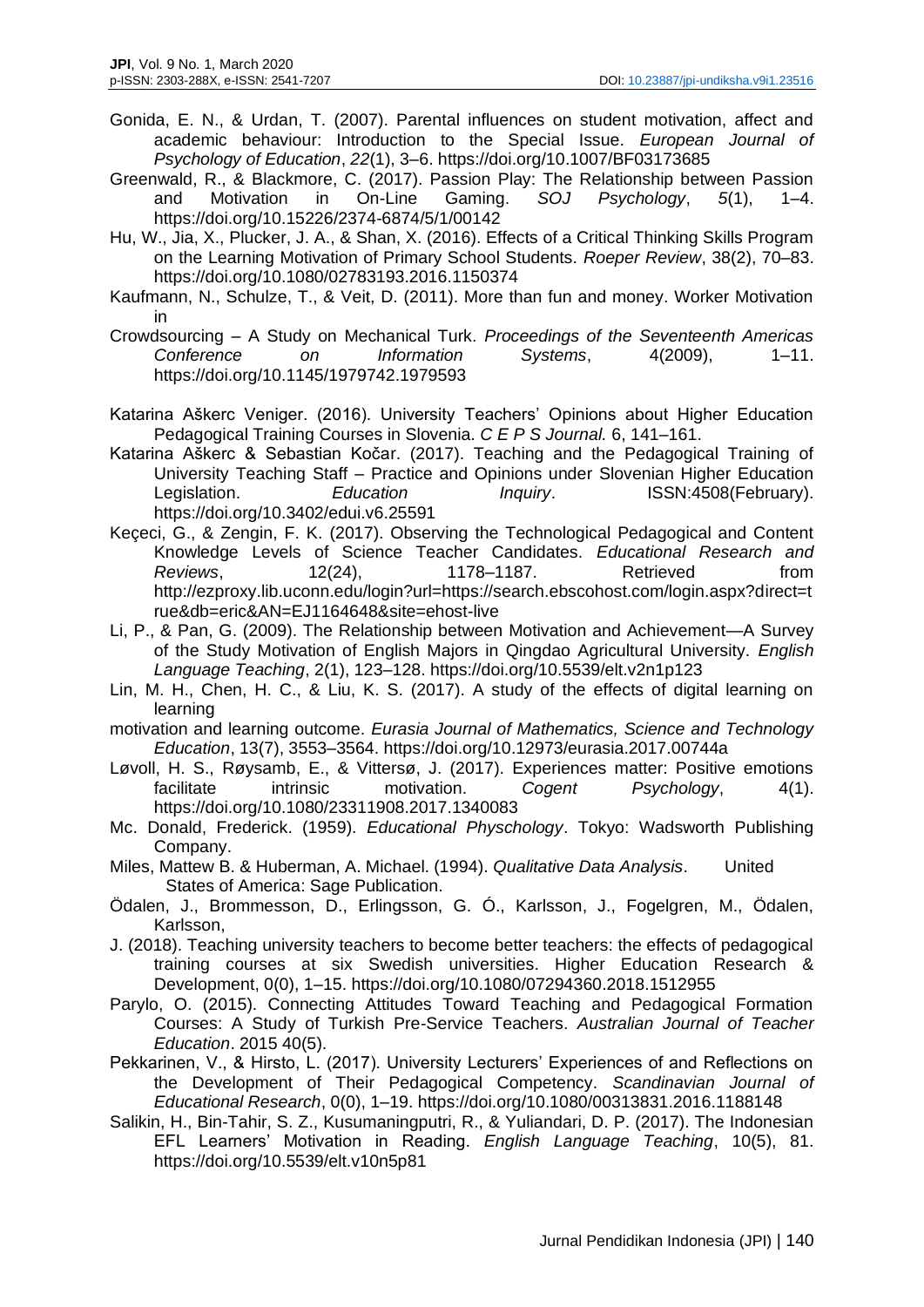- Gonida, E. N., & Urdan, T. (2007). Parental influences on student motivation, affect and academic behaviour: Introduction to the Special Issue. *European Journal of Psychology of Education*, *22*(1), 3–6. https://doi.org/10.1007/BF03173685
- Greenwald, R., & Blackmore, C. (2017). Passion Play: The Relationship between Passion and Motivation in On-Line Gaming. *SOJ Psychology*, *5*(1), 1–4. https://doi.org/10.15226/2374-6874/5/1/00142
- Hu, W., Jia, X., Plucker, J. A., & Shan, X. (2016). Effects of a Critical Thinking Skills Program on the Learning Motivation of Primary School Students. *Roeper Review*, 38(2), 70–83. https://doi.org/10.1080/02783193.2016.1150374
- Kaufmann, N., Schulze, T., & Veit, D. (2011). More than fun and money. Worker Motivation in
- Crowdsourcing A Study on Mechanical Turk. *Proceedings of the Seventeenth Americas Conference on Information Systems*, 4(2009), 1–11. https://doi.org/10.1145/1979742.1979593
- Katarina Aškerc Veniger. (2016). University Teachers' Opinions about Higher Education Pedagogical Training Courses in Slovenia. *C E P S Journal.* 6, 141–161.
- Katarina Aškerc & Sebastian Kočar. (2017). Teaching and the Pedagogical Training of University Teaching Staff – Practice and Opinions under Slovenian Higher Education Legislation. *Education Inquiry*. ISSN:4508(February). https://doi.org/10.3402/edui.v6.25591
- Keçeci, G., & Zengin, F. K. (2017). Observing the Technological Pedagogical and Content Knowledge Levels of Science Teacher Candidates. *Educational Research and Reviews*, 12(24), 1178–1187. Retrieved from http://ezproxy.lib.uconn.edu/login?url=https://search.ebscohost.com/login.aspx?direct=t rue&db=eric&AN=EJ1164648&site=ehost-live
- Li, P., & Pan, G. (2009). The Relationship between Motivation and Achievement—A Survey of the Study Motivation of English Majors in Qingdao Agricultural University. *English Language Teaching*, 2(1), 123–128. https://doi.org/10.5539/elt.v2n1p123
- Lin, M. H., Chen, H. C., & Liu, K. S. (2017). A study of the effects of digital learning on learning
- motivation and learning outcome. *Eurasia Journal of Mathematics, Science and Technology Education*, 13(7), 3553–3564. https://doi.org/10.12973/eurasia.2017.00744a
- Løvoll, H. S., Røysamb, E., & Vittersø, J. (2017). Experiences matter: Positive emotions facilitate intrinsic motivation. *Cogent Psychology*, 4(1). https://doi.org/10.1080/23311908.2017.1340083
- Mc. Donald, Frederick. (1959). *Educational Physchology*. Tokyo: Wadsworth Publishing Company.
- Miles, Mattew B. & Huberman, A. Michael. (1994). *Qualitative Data Analysis*. United States of America: Sage Publication.
- Ödalen, J., Brommesson, D., Erlingsson, G. Ó., Karlsson, J., Fogelgren, M., Ödalen, Karlsson,
- J. (2018). Teaching university teachers to become better teachers: the effects of pedagogical training courses at six Swedish universities. Higher Education Research & Development, 0(0), 1–15. https://doi.org/10.1080/07294360.2018.1512955
- Parylo, O. (2015). Connecting Attitudes Toward Teaching and Pedagogical Formation Courses: A Study of Turkish Pre-Service Teachers. *Australian Journal of Teacher Education*. 2015 40(5).
- Pekkarinen, V., & Hirsto, L. (2017). University Lecturers' Experiences of and Reflections on the Development of Their Pedagogical Competency. *Scandinavian Journal of Educational Research*, 0(0), 1–19. https://doi.org/10.1080/00313831.2016.1188148
- Salikin, H., Bin-Tahir, S. Z., Kusumaningputri, R., & Yuliandari, D. P. (2017). The Indonesian EFL Learners' Motivation in Reading. *English Language Teaching*, 10(5), 81. https://doi.org/10.5539/elt.v10n5p81